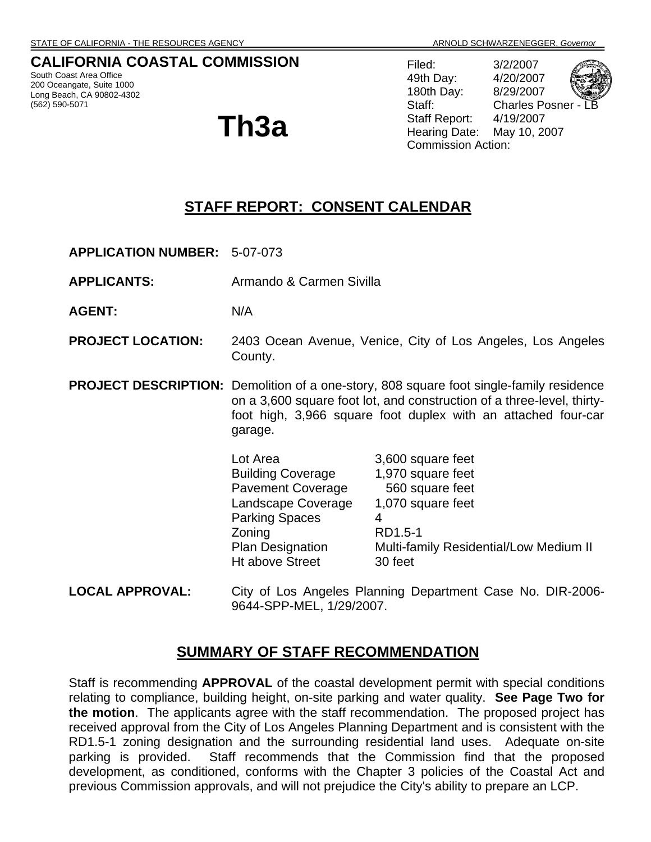# **CALIFORNIA COASTAL COMMISSION**

South Coast Area Office 200 Oceangate, Suite 1000 Long Beach, CA 90802-4302 (562) 590-5071

# **Th3a**

Filed: 3/2/2007 49th Day: 4/20/2007 180th Day: 8/29/2007 Staff: Charles Posner Staff Report: 4/19/2007 Hearing Date: May 10, 2007 Commission Action:

# **STAFF REPORT: CONSENT CALENDAR**

**APPLICATION NUMBER:** 5-07-073

**APPLICANTS:** Armando & Carmen Sivilla

**AGENT:** N/A

- **PROJECT LOCATION:** 2403 Ocean Avenue, Venice, City of Los Angeles, Los Angeles County.
- **PROJECT DESCRIPTION:** Demolition of a one-story, 808 square foot single-family residence on a 3,600 square foot lot, and construction of a three-level, thirtyfoot high, 3,966 square foot duplex with an attached four-car garage.

| Lot Area                 | 3,600 square feet                      |
|--------------------------|----------------------------------------|
| <b>Building Coverage</b> | 1,970 square feet                      |
| <b>Pavement Coverage</b> | 560 square feet                        |
| Landscape Coverage       | 1,070 square feet                      |
| <b>Parking Spaces</b>    |                                        |
| Zoning                   | RD1.5-1                                |
| <b>Plan Designation</b>  | Multi-family Residential/Low Medium II |
| <b>Ht above Street</b>   | 30 feet                                |
|                          |                                        |

**LOCAL APPROVAL:** City of Los Angeles Planning Department Case No. DIR-2006- 9644-SPP-MEL, 1/29/2007.

# **SUMMARY OF STAFF RECOMMENDATION**

Staff is recommending **APPROVAL** of the coastal development permit with special conditions relating to compliance, building height, on-site parking and water quality. **See Page Two for the motion**. The applicants agree with the staff recommendation. The proposed project has received approval from the City of Los Angeles Planning Department and is consistent with the RD1.5-1 zoning designation and the surrounding residential land uses. Adequate on-site parking is provided. Staff recommends that the Commission find that the proposed development, as conditioned, conforms with the Chapter 3 policies of the Coastal Act and previous Commission approvals, and will not prejudice the City's ability to prepare an LCP.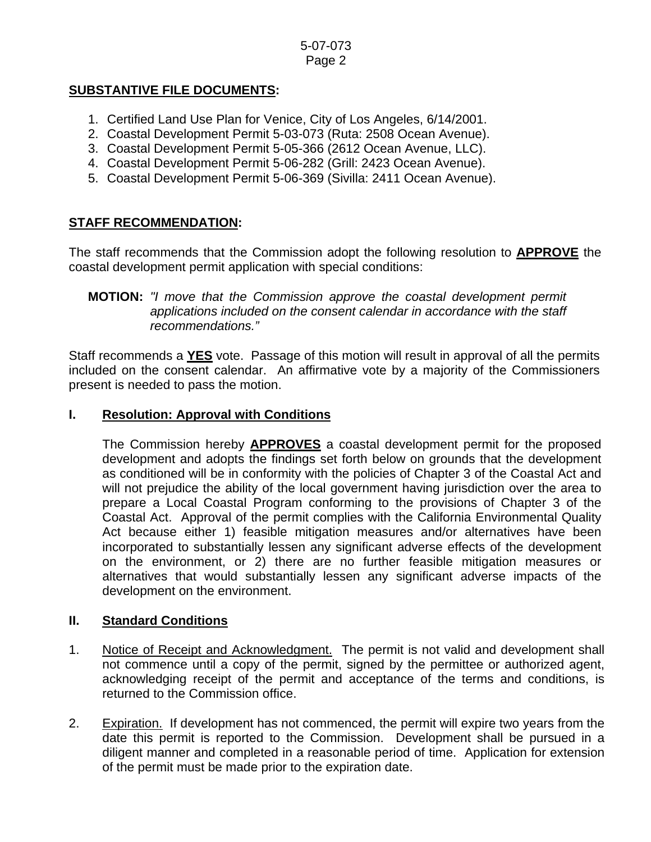# **SUBSTANTIVE FILE DOCUMENTS:**

- 1. Certified Land Use Plan for Venice, City of Los Angeles, 6/14/2001.
- 2. Coastal Development Permit 5-03-073 (Ruta: 2508 Ocean Avenue).
- 3. Coastal Development Permit 5-05-366 (2612 Ocean Avenue, LLC).
- 4. Coastal Development Permit 5-06-282 (Grill: 2423 Ocean Avenue).
- 5. Coastal Development Permit 5-06-369 (Sivilla: 2411 Ocean Avenue).

# **STAFF RECOMMENDATION:**

The staff recommends that the Commission adopt the following resolution to **APPROVE** the coastal development permit application with special conditions:

## **MOTION:** *"I move that the Commission approve the coastal development permit applications included on the consent calendar in accordance with the staff recommendations."*

Staff recommends a **YES** vote. Passage of this motion will result in approval of all the permits included on the consent calendar. An affirmative vote by a majority of the Commissioners present is needed to pass the motion.

# **I. Resolution: Approval with Conditions**

The Commission hereby **APPROVES** a coastal development permit for the proposed development and adopts the findings set forth below on grounds that the development as conditioned will be in conformity with the policies of Chapter 3 of the Coastal Act and will not prejudice the ability of the local government having jurisdiction over the area to prepare a Local Coastal Program conforming to the provisions of Chapter 3 of the Coastal Act. Approval of the permit complies with the California Environmental Quality Act because either 1) feasible mitigation measures and/or alternatives have been incorporated to substantially lessen any significant adverse effects of the development on the environment, or 2) there are no further feasible mitigation measures or alternatives that would substantially lessen any significant adverse impacts of the development on the environment.

## **II. Standard Conditions**

- 1. Notice of Receipt and Acknowledgment. The permit is not valid and development shall not commence until a copy of the permit, signed by the permittee or authorized agent, acknowledging receipt of the permit and acceptance of the terms and conditions, is returned to the Commission office.
- 2. Expiration. If development has not commenced, the permit will expire two years from the date this permit is reported to the Commission. Development shall be pursued in a diligent manner and completed in a reasonable period of time. Application for extension of the permit must be made prior to the expiration date.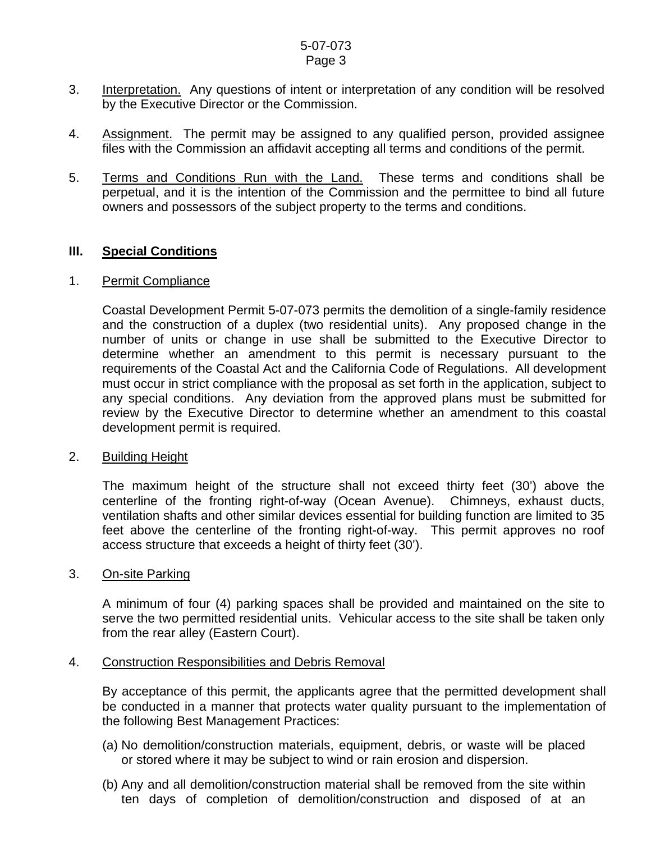#### 5-07-073 Page 3

- 3. Interpretation. Any questions of intent or interpretation of any condition will be resolved by the Executive Director or the Commission.
- 4. Assignment. The permit may be assigned to any qualified person, provided assignee files with the Commission an affidavit accepting all terms and conditions of the permit.
- 5. Terms and Conditions Run with the Land. These terms and conditions shall be perpetual, and it is the intention of the Commission and the permittee to bind all future owners and possessors of the subject property to the terms and conditions.

#### **III. Special Conditions**

#### 1. Permit Compliance

 Coastal Development Permit 5-07-073 permits the demolition of a single-family residence and the construction of a duplex (two residential units). Any proposed change in the number of units or change in use shall be submitted to the Executive Director to determine whether an amendment to this permit is necessary pursuant to the requirements of the Coastal Act and the California Code of Regulations. All development must occur in strict compliance with the proposal as set forth in the application, subject to any special conditions. Any deviation from the approved plans must be submitted for review by the Executive Director to determine whether an amendment to this coastal development permit is required.

#### 2. Building Height

The maximum height of the structure shall not exceed thirty feet (30') above the centerline of the fronting right-of-way (Ocean Avenue). Chimneys, exhaust ducts, ventilation shafts and other similar devices essential for building function are limited to 35 feet above the centerline of the fronting right-of-way. This permit approves no roof access structure that exceeds a height of thirty feet (30').

#### 3. On-site Parking

A minimum of four (4) parking spaces shall be provided and maintained on the site to serve the two permitted residential units. Vehicular access to the site shall be taken only from the rear alley (Eastern Court).

#### 4. Construction Responsibilities and Debris Removal

By acceptance of this permit, the applicants agree that the permitted development shall be conducted in a manner that protects water quality pursuant to the implementation of the following Best Management Practices:

- (a) No demolition/construction materials, equipment, debris, or waste will be placed or stored where it may be subject to wind or rain erosion and dispersion.
- (b) Any and all demolition/construction material shall be removed from the site within ten days of completion of demolition/construction and disposed of at an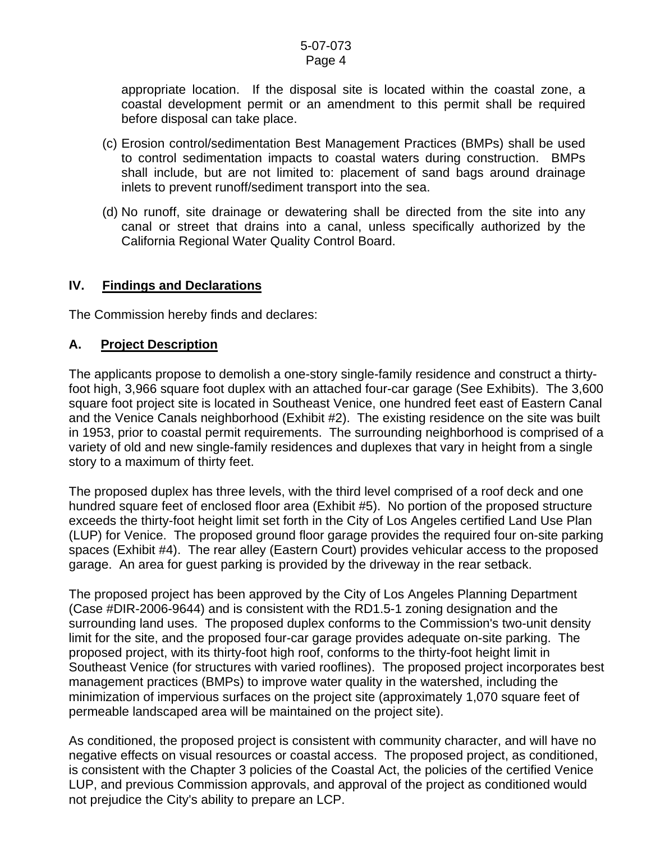#### 5-07-073 Page 4

appropriate location. If the disposal site is located within the coastal zone, a coastal development permit or an amendment to this permit shall be required before disposal can take place.

- (c) Erosion control/sedimentation Best Management Practices (BMPs) shall be used to control sedimentation impacts to coastal waters during construction. BMPs shall include, but are not limited to: placement of sand bags around drainage inlets to prevent runoff/sediment transport into the sea.
- (d) No runoff, site drainage or dewatering shall be directed from the site into any canal or street that drains into a canal, unless specifically authorized by the California Regional Water Quality Control Board.

## **IV. Findings and Declarations**

The Commission hereby finds and declares:

## **A. Project Description**

The applicants propose to demolish a one-story single-family residence and construct a thirtyfoot high, 3,966 square foot duplex with an attached four-car garage (See Exhibits). The 3,600 square foot project site is located in Southeast Venice, one hundred feet east of Eastern Canal and the Venice Canals neighborhood (Exhibit #2). The existing residence on the site was built in 1953, prior to coastal permit requirements. The surrounding neighborhood is comprised of a variety of old and new single-family residences and duplexes that vary in height from a single story to a maximum of thirty feet.

The proposed duplex has three levels, with the third level comprised of a roof deck and one hundred square feet of enclosed floor area (Exhibit #5). No portion of the proposed structure exceeds the thirty-foot height limit set forth in the City of Los Angeles certified Land Use Plan (LUP) for Venice. The proposed ground floor garage provides the required four on-site parking spaces (Exhibit #4). The rear alley (Eastern Court) provides vehicular access to the proposed garage. An area for guest parking is provided by the driveway in the rear setback.

The proposed project has been approved by the City of Los Angeles Planning Department (Case #DIR-2006-9644) and is consistent with the RD1.5-1 zoning designation and the surrounding land uses. The proposed duplex conforms to the Commission's two-unit density limit for the site, and the proposed four-car garage provides adequate on-site parking. The proposed project, with its thirty-foot high roof, conforms to the thirty-foot height limit in Southeast Venice (for structures with varied rooflines). The proposed project incorporates best management practices (BMPs) to improve water quality in the watershed, including the minimization of impervious surfaces on the project site (approximately 1,070 square feet of permeable landscaped area will be maintained on the project site).

As conditioned, the proposed project is consistent with community character, and will have no negative effects on visual resources or coastal access. The proposed project, as conditioned, is consistent with the Chapter 3 policies of the Coastal Act, the policies of the certified Venice LUP, and previous Commission approvals, and approval of the project as conditioned would not prejudice the City's ability to prepare an LCP.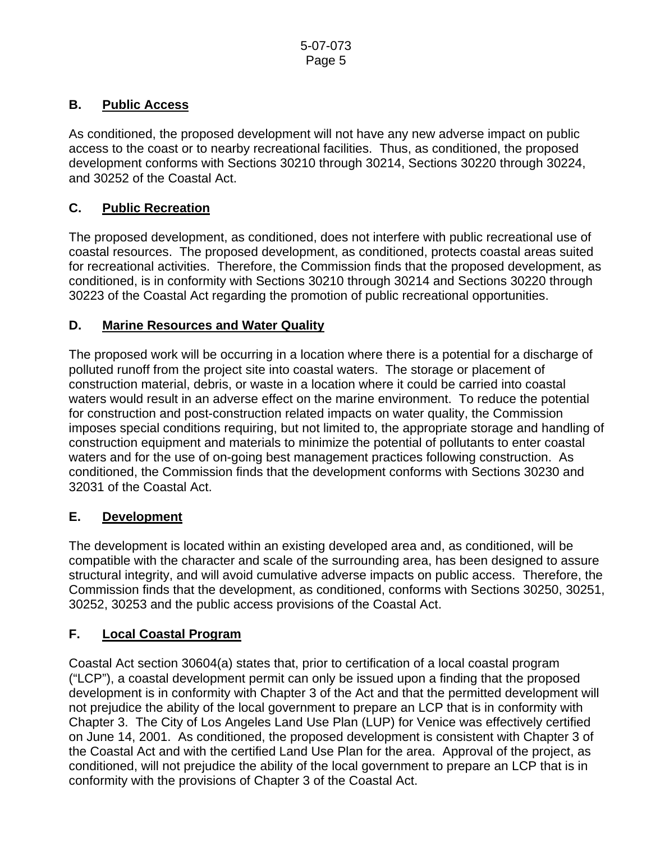# **B. Public Access**

As conditioned, the proposed development will not have any new adverse impact on public access to the coast or to nearby recreational facilities. Thus, as conditioned, the proposed development conforms with Sections 30210 through 30214, Sections 30220 through 30224, and 30252 of the Coastal Act.

# **C. Public Recreation**

The proposed development, as conditioned, does not interfere with public recreational use of coastal resources. The proposed development, as conditioned, protects coastal areas suited for recreational activities. Therefore, the Commission finds that the proposed development, as conditioned, is in conformity with Sections 30210 through 30214 and Sections 30220 through 30223 of the Coastal Act regarding the promotion of public recreational opportunities.

## **D. Marine Resources and Water Quality**

The proposed work will be occurring in a location where there is a potential for a discharge of polluted runoff from the project site into coastal waters. The storage or placement of construction material, debris, or waste in a location where it could be carried into coastal waters would result in an adverse effect on the marine environment. To reduce the potential for construction and post-construction related impacts on water quality, the Commission imposes special conditions requiring, but not limited to, the appropriate storage and handling of construction equipment and materials to minimize the potential of pollutants to enter coastal waters and for the use of on-going best management practices following construction. As conditioned, the Commission finds that the development conforms with Sections 30230 and 32031 of the Coastal Act.

# **E. Development**

The development is located within an existing developed area and, as conditioned, will be compatible with the character and scale of the surrounding area, has been designed to assure structural integrity, and will avoid cumulative adverse impacts on public access. Therefore, the Commission finds that the development, as conditioned, conforms with Sections 30250, 30251, 30252, 30253 and the public access provisions of the Coastal Act.

# **F. Local Coastal Program**

Coastal Act section 30604(a) states that, prior to certification of a local coastal program ("LCP"), a coastal development permit can only be issued upon a finding that the proposed development is in conformity with Chapter 3 of the Act and that the permitted development will not prejudice the ability of the local government to prepare an LCP that is in conformity with Chapter 3. The City of Los Angeles Land Use Plan (LUP) for Venice was effectively certified on June 14, 2001. As conditioned, the proposed development is consistent with Chapter 3 of the Coastal Act and with the certified Land Use Plan for the area. Approval of the project, as conditioned, will not prejudice the ability of the local government to prepare an LCP that is in conformity with the provisions of Chapter 3 of the Coastal Act.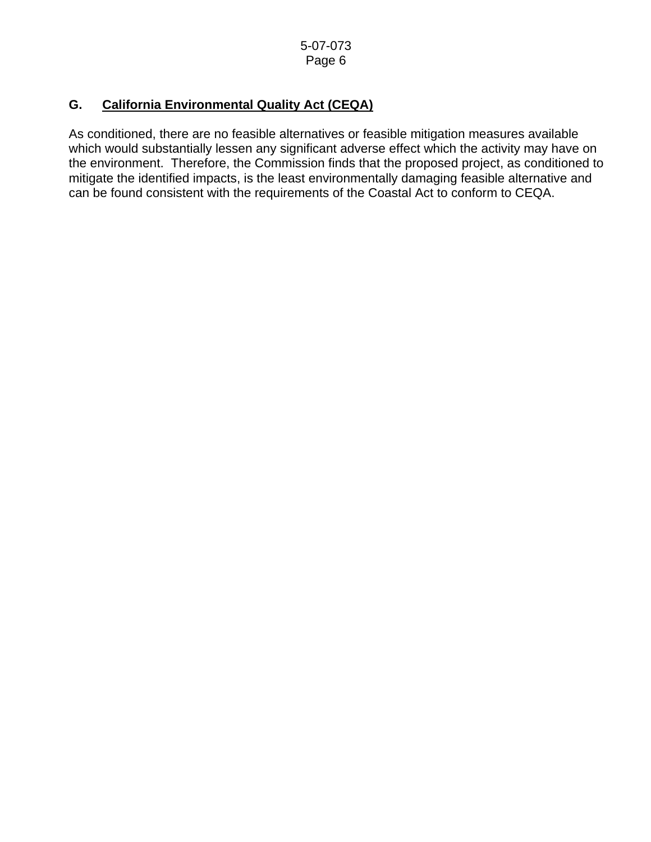# **G. California Environmental Quality Act (CEQA)**

As conditioned, there are no feasible alternatives or feasible mitigation measures available which would substantially lessen any significant adverse effect which the activity may have on the environment. Therefore, the Commission finds that the proposed project, as conditioned to mitigate the identified impacts, is the least environmentally damaging feasible alternative and can be found consistent with the requirements of the Coastal Act to conform to CEQA.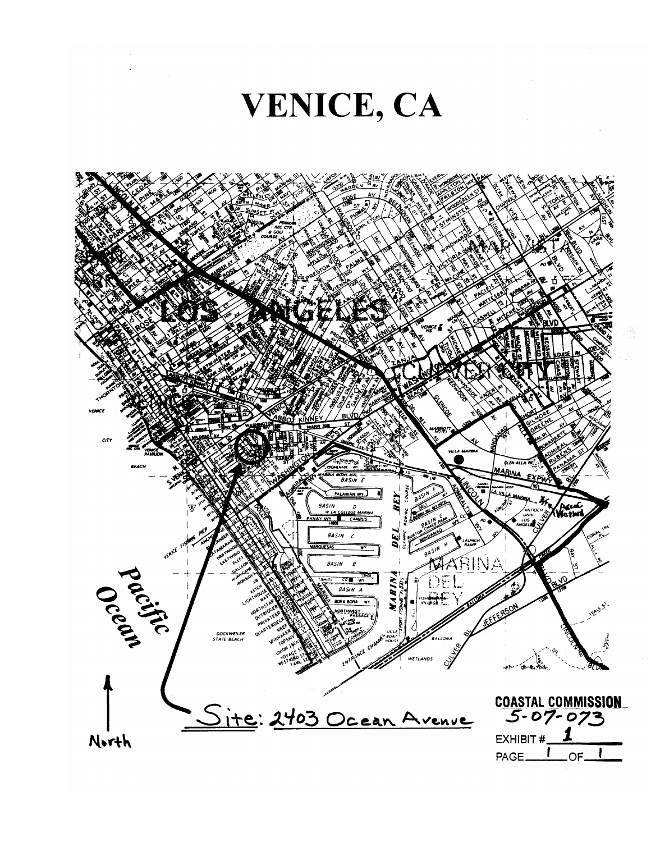

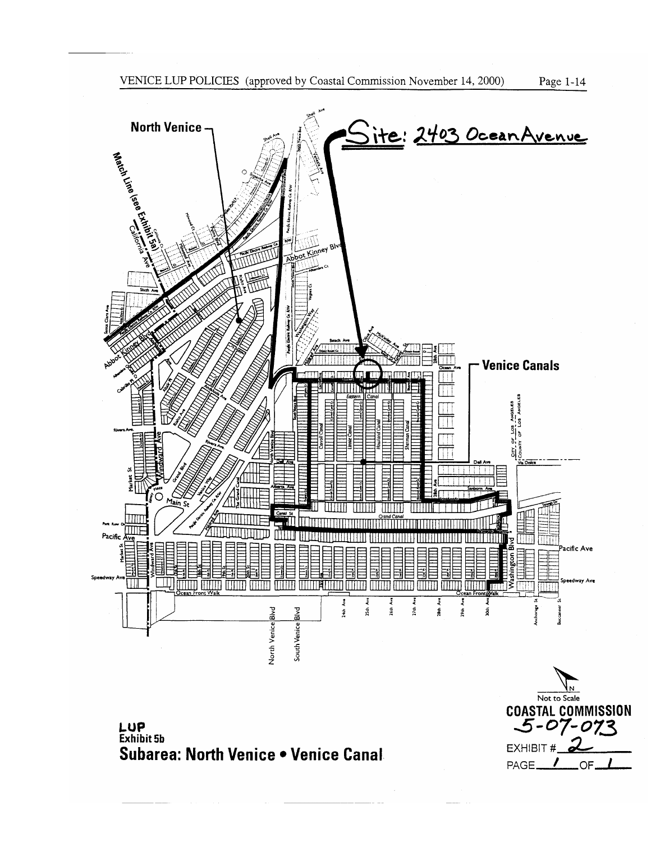



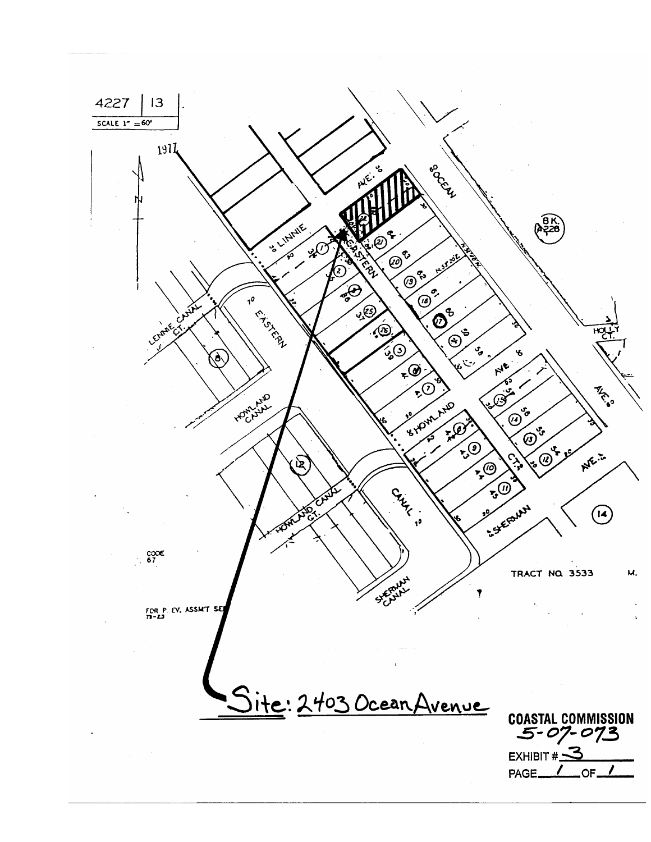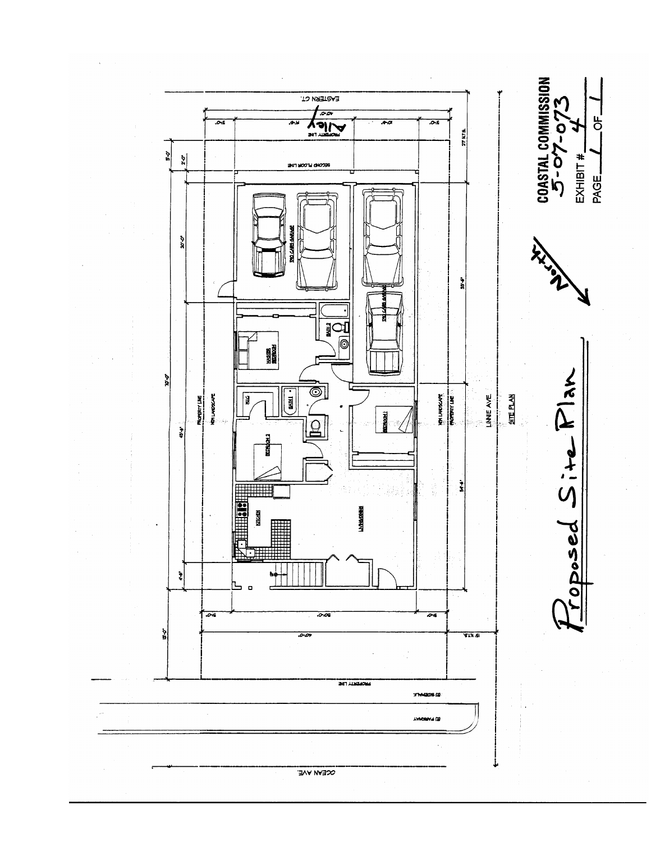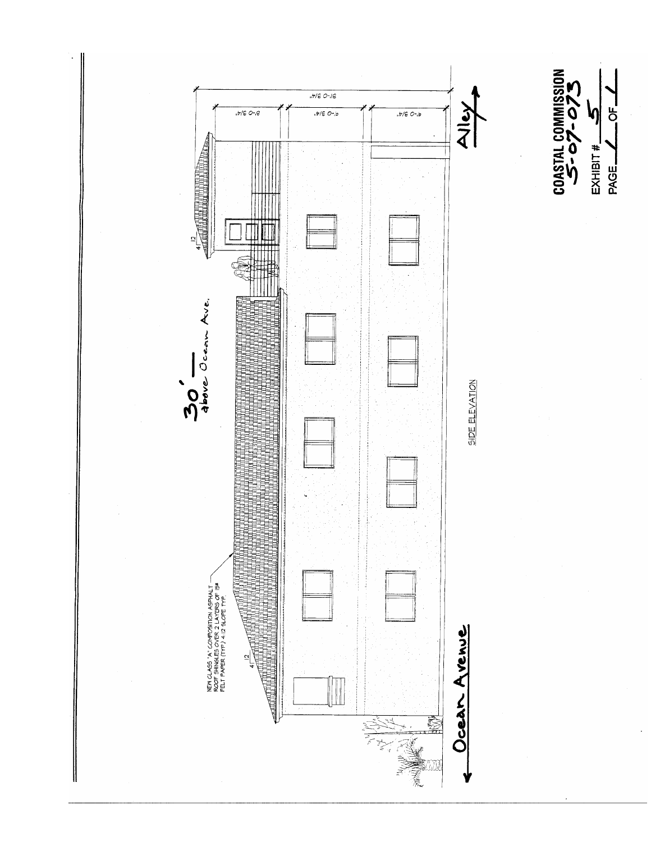